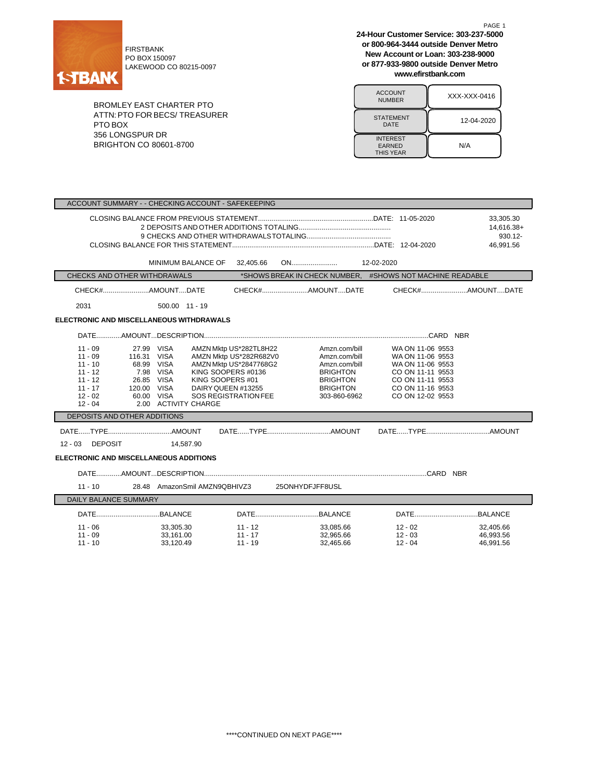

PO BOX 150097 LAKEWOOD CO 80215-0097

BROMLEY EAST CHARTER PTO ATTN:PTO FOR BECS/ TREASURER PTO BOX 356 LONGSPUR DR BRIGHTON CO 80601-8700

**24-Hour Customer Service: 303-237-5000 or 800-964-3444 outside Denver Metro New Account or Loan: 303-238-9000 or 877-933-9800 outside Denver Metro www.efirstbank.com**

PAGE 1

| <b>ACCOUNT</b><br><b>NUMBER</b>                      | XXX-XXX-0416 |
|------------------------------------------------------|--------------|
| <b>STATEMENT</b><br>DATE                             | 12-04-2020   |
| <b>INTEREST</b><br><b>EARNED</b><br><b>THIS YEAR</b> | N/A          |

| ACCOUNT SUMMARY - - CHECKING ACCOUNT - SAFEKEEPING                                                   |                                                                                                                         |                                                                                                                                                                    |                                                                                                                          |                                                                                                                                          |                                     |
|------------------------------------------------------------------------------------------------------|-------------------------------------------------------------------------------------------------------------------------|--------------------------------------------------------------------------------------------------------------------------------------------------------------------|--------------------------------------------------------------------------------------------------------------------------|------------------------------------------------------------------------------------------------------------------------------------------|-------------------------------------|
| 33,305.30<br>930.12-<br>46.991.56                                                                    |                                                                                                                         |                                                                                                                                                                    |                                                                                                                          | 14,616.38+                                                                                                                               |                                     |
|                                                                                                      | MINIMUM BALANCE OF 32,405.66                                                                                            |                                                                                                                                                                    |                                                                                                                          |                                                                                                                                          |                                     |
| CHECKS AND OTHER WITHDRAWALS                                                                         |                                                                                                                         |                                                                                                                                                                    |                                                                                                                          | *SHOWS BREAK IN CHECK NUMBER. #SHOWS NOT MACHINE READABLE                                                                                |                                     |
| CHECK#AMOUNTDATE                                                                                     |                                                                                                                         |                                                                                                                                                                    |                                                                                                                          |                                                                                                                                          |                                     |
| 2031                                                                                                 | 500.00 11 - 19                                                                                                          |                                                                                                                                                                    |                                                                                                                          |                                                                                                                                          |                                     |
| ELECTRONIC AND MISCELLANEOUS WITHDRAWALS                                                             |                                                                                                                         |                                                                                                                                                                    |                                                                                                                          |                                                                                                                                          |                                     |
|                                                                                                      |                                                                                                                         |                                                                                                                                                                    |                                                                                                                          |                                                                                                                                          |                                     |
| $11 - 09$<br>$11 - 09$<br>$11 - 10$<br>$11 - 12$<br>$11 - 12$<br>$11 - 17$<br>$12 - 02$<br>$12 - 04$ | 27.99 VISA<br>116.31 VISA<br>68.99 VISA<br>7.98 VISA<br>26.85 VISA<br>120.00 VISA<br>60.00 VISA<br>2.00 ACTIVITY CHARGE | AMZN Mktp US*282TL8H22<br>AMZN Mktp US*282R682V0<br>AMZN Mktp US*2847768G2<br>KING SOOPERS #0136<br>KING SOOPERS #01<br>DAIRY QUEEN #13255<br>SOS REGISTRATION FEE | Amzn.com/bill<br>Amzn.com/bill<br>Amzn.com/bill<br><b>BRIGHTON</b><br><b>BRIGHTON</b><br><b>BRIGHTON</b><br>303-860-6962 | WA ON 11-06 9553<br>WA ON 11-06 9553<br>WA ON 11-06 9553<br>CO ON 11-11 9553<br>CO ON 11-11 9553<br>CO ON 11-16 9553<br>CO ON 12-02 9553 |                                     |
| DEPOSITS AND OTHER ADDITIONS                                                                         |                                                                                                                         |                                                                                                                                                                    |                                                                                                                          |                                                                                                                                          |                                     |
| 12 - 03 DEPOSIT<br><b>ELECTRONIC AND MISCELLANEOUS ADDITIONS</b>                                     | 14.587.90                                                                                                               |                                                                                                                                                                    |                                                                                                                          |                                                                                                                                          |                                     |
|                                                                                                      |                                                                                                                         |                                                                                                                                                                    |                                                                                                                          |                                                                                                                                          |                                     |
| $11 - 10$                                                                                            |                                                                                                                         |                                                                                                                                                                    |                                                                                                                          |                                                                                                                                          |                                     |
| 28.48 AmazonSmil AMZN9QBHIVZ3 25ONHYDFJFF8USL<br>DAILY BALANCE SUMMARY                               |                                                                                                                         |                                                                                                                                                                    |                                                                                                                          |                                                                                                                                          |                                     |
|                                                                                                      |                                                                                                                         |                                                                                                                                                                    |                                                                                                                          |                                                                                                                                          |                                     |
|                                                                                                      |                                                                                                                         |                                                                                                                                                                    |                                                                                                                          |                                                                                                                                          |                                     |
| $11 - 06$<br>$11 - 09$<br>$11 - 10$                                                                  | 33,305.30<br>33,161.00<br>33.120.49                                                                                     | 11 - 12<br>$11 - 17$<br>$11 - 19$                                                                                                                                  | 33,085.66<br>32,965.66<br>32,465.66                                                                                      | 12 - 02<br>$12 - 03$<br>$12 - 04$                                                                                                        | 32,405.66<br>46,993.56<br>46.991.56 |